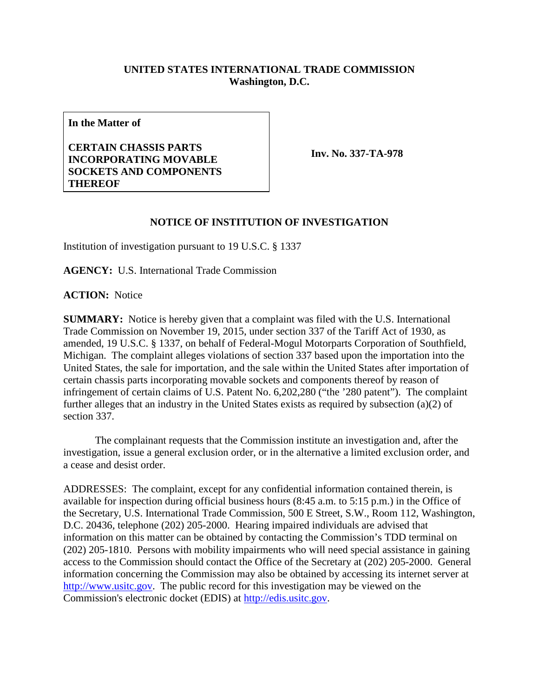## **UNITED STATES INTERNATIONAL TRADE COMMISSION Washington, D.C.**

**In the Matter of**

## **CERTAIN CHASSIS PARTS INCORPORATING MOVABLE SOCKETS AND COMPONENTS THEREOF**

**Inv. No. 337-TA-978**

## **NOTICE OF INSTITUTION OF INVESTIGATION**

Institution of investigation pursuant to 19 U.S.C. § 1337

**AGENCY:** U.S. International Trade Commission

**ACTION:** Notice

**SUMMARY:** Notice is hereby given that a complaint was filed with the U.S. International Trade Commission on November 19, 2015, under section 337 of the Tariff Act of 1930, as amended, 19 U.S.C. § 1337, on behalf of Federal-Mogul Motorparts Corporation of Southfield, Michigan. The complaint alleges violations of section 337 based upon the importation into the United States, the sale for importation, and the sale within the United States after importation of certain chassis parts incorporating movable sockets and components thereof by reason of infringement of certain claims of U.S. Patent No. 6,202,280 ("the '280 patent"). The complaint further alleges that an industry in the United States exists as required by subsection (a)(2) of section 337.

The complainant requests that the Commission institute an investigation and, after the investigation, issue a general exclusion order, or in the alternative a limited exclusion order, and a cease and desist order.

ADDRESSES: The complaint, except for any confidential information contained therein, is available for inspection during official business hours (8:45 a.m. to 5:15 p.m.) in the Office of the Secretary, U.S. International Trade Commission, 500 E Street, S.W., Room 112, Washington, D.C. 20436, telephone (202) 205-2000. Hearing impaired individuals are advised that information on this matter can be obtained by contacting the Commission's TDD terminal on (202) 205-1810. Persons with mobility impairments who will need special assistance in gaining access to the Commission should contact the Office of the Secretary at (202) 205-2000. General information concerning the Commission may also be obtained by accessing its internet server at [http://www.usitc.gov.](http://www.usitc.gov/) The public record for this investigation may be viewed on the Commission's electronic docket (EDIS) at [http://edis.usitc.gov.](http://edis.usitc.gov/)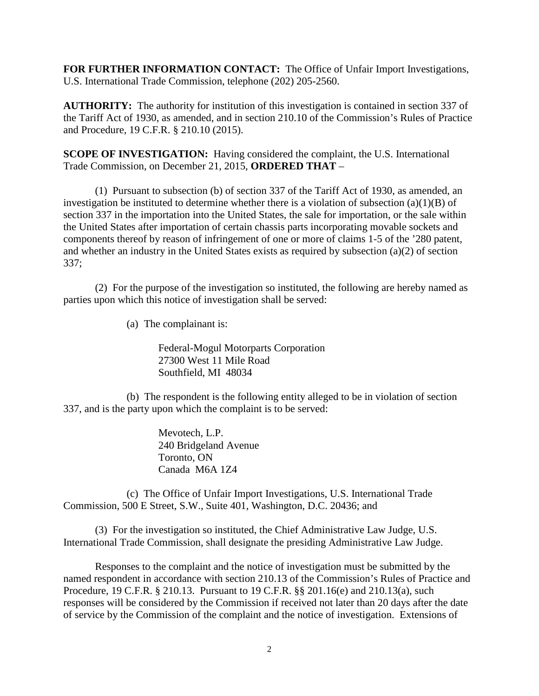**FOR FURTHER INFORMATION CONTACT:** The Office of Unfair Import Investigations, U.S. International Trade Commission, telephone (202) 205-2560.

**AUTHORITY:** The authority for institution of this investigation is contained in section 337 of the Tariff Act of 1930, as amended, and in section 210.10 of the Commission's Rules of Practice and Procedure, 19 C.F.R. § 210.10 (2015).

**SCOPE OF INVESTIGATION:** Having considered the complaint, the U.S. International Trade Commission, on December 21, 2015, **ORDERED THAT** –

(1) Pursuant to subsection (b) of section 337 of the Tariff Act of 1930, as amended, an investigation be instituted to determine whether there is a violation of subsection  $(a)(1)(B)$  of section 337 in the importation into the United States, the sale for importation, or the sale within the United States after importation of certain chassis parts incorporating movable sockets and components thereof by reason of infringement of one or more of claims 1-5 of the '280 patent, and whether an industry in the United States exists as required by subsection (a)(2) of section 337;

(2) For the purpose of the investigation so instituted, the following are hereby named as parties upon which this notice of investigation shall be served:

(a) The complainant is:

Federal-Mogul Motorparts Corporation 27300 West 11 Mile Road Southfield, MI 48034

(b) The respondent is the following entity alleged to be in violation of section 337, and is the party upon which the complaint is to be served:

> Mevotech, L.P. 240 Bridgeland Avenue Toronto, ON Canada M6A 1Z4

(c) The Office of Unfair Import Investigations, U.S. International Trade Commission, 500 E Street, S.W., Suite 401, Washington, D.C. 20436; and

(3) For the investigation so instituted, the Chief Administrative Law Judge, U.S. International Trade Commission, shall designate the presiding Administrative Law Judge.

Responses to the complaint and the notice of investigation must be submitted by the named respondent in accordance with section 210.13 of the Commission's Rules of Practice and Procedure, 19 C.F.R. § 210.13. Pursuant to 19 C.F.R. §§ 201.16(e) and 210.13(a), such responses will be considered by the Commission if received not later than 20 days after the date of service by the Commission of the complaint and the notice of investigation. Extensions of